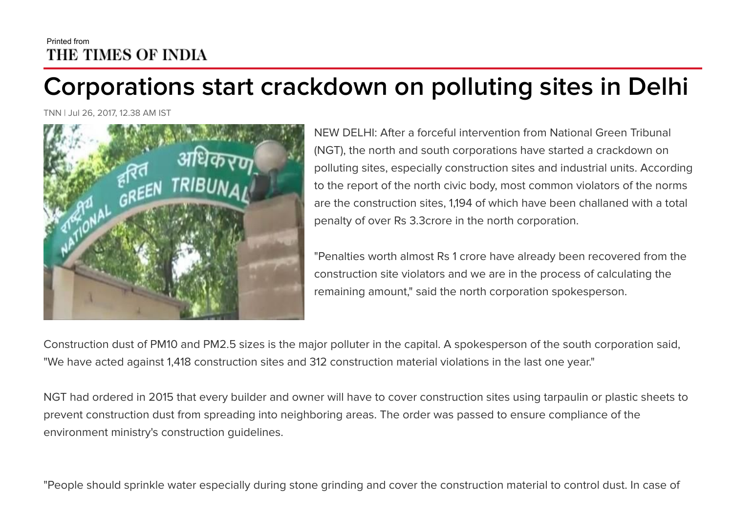## Printed from THE TIMES OF INDIA

## Corporations start crackdown on polluting sites in Delhi

TNN | Jul 26, 2017, 12.38 AM IST



NEW DELHI: After a forceful intervention from National Green Tribunal (NGT), the north and south corporations have started a crackdown on polluting sites, especially construction sites and industrial units. According to the report of the north civic body, most common violators of the norms are the construction sites, 1,194 of which have been challaned with a total penalty of over Rs 3.3crore in the north corporation.

"Penalties worth almost Rs 1 crore have already been recovered from the construction site violators and we are in the process of calculating the remaining amount," said the north corporation spokesperson.

Construction dust of PM10 and PM2.5 sizes is the major polluter in the capital. A spokesperson of the south corporation said, "We have acted against 1,418 construction sites and 312 construction material violations in the last one year."

NGT had ordered in 2015 that every builder and owner will have to cover construction sites using tarpaulin or plastic sheets to prevent construction dust from spreading into neighboring areas. The order was passed to ensure compliance of the environment ministry's construction guidelines.

"People should sprinkle water especially during stone grinding and cover the construction material to control dust. In case of